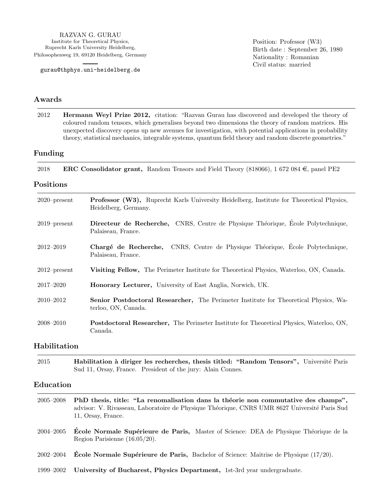RAZVAN G. GURAU Institute for Theoretical Physics, Ruprecht Karls University Heidelberg, Philosophenweg 19, 69120 Heidelberg, Germany

gurau@thphys.uni-heidelberg.de

Position: Professor (W3) Birth date : September 26, 1980 Nationality : Romanian Civil status: married

### Awards

2012 Hermann Weyl Prize 2012, citation: "Razvan Gurau has discovered and developed the theory of coloured random tensors, which generalises beyond two dimensions the theory of random matrices. His unexpected discovery opens up new avenues for investigation, with potential applications in probability theory, statistical mechanics, integrable systems, quantum field theory and random discrete geometries."

### Funding

2018 **ERC Consolidator grant,** Random Tensors and Field Theory (818066), 1 672 084  $\in$ , panel PE2

#### Positions

| $2020$ -present | <b>Professor (W3),</b> Ruprecht Karls University Heidelberg, Institute for Theoretical Physics,<br>Heidelberg, Germany. |
|-----------------|-------------------------------------------------------------------------------------------------------------------------|
| $2019$ -present | Directeur de Recherche, CNRS, Centre de Physique Théorique, École Polytechnique,<br>Palaiseau, France.                  |
| $2012 - 2019$   | Chargé de Recherche, CNRS, Centre de Physique Théorique, École Polytechnique,<br>Palaiseau, France.                     |
| $2012$ -present | <b>Visiting Fellow,</b> The Perimeter Institute for Theoretical Physics, Waterloo, ON, Canada.                          |
| $2017 - 2020$   | <b>Honorary Lecturer</b> , University of East Anglia, Norwich, UK.                                                      |
| $2010 - 2012$   | <b>Senior Postdoctoral Researcher,</b> The Perimeter Institute for Theoretical Physics, Wa-<br>terloo, ON, Canada.      |
| $2008 - 2010$   | <b>Postdoctoral Researcher,</b> The Perimeter Institute for Theoretical Physics, Waterloo, ON,<br>Canada.               |

### Habilitation

2015 Habilitation à diriger les recherches, thesis titled: "Random Tensors", Université Paris Sud 11, Orsay, France. President of the jury: Alain Connes.

#### Education

- 2005–2008 PhD thesis, title: "La renomalisation dans la théorie non commutative des champs", advisor: V. Rivasseau, Laboratoire de Physique Théorique, CNRS UMR 8627 Université Paris Sud 11, Orsay, France.
- 2004–2005 Ecole Normale Supérieure de Paris, Master of Science: DEA de Physique Théorique de la Region Parisienne (16.05/20).
- 2002–2004 **École Normale Supérieure de Paris,** Bachelor of Science: Maitrise de Physique  $(17/20)$ .
- 1999–2002 University of Bucharest, Physics Department, 1st-3rd year undergraduate.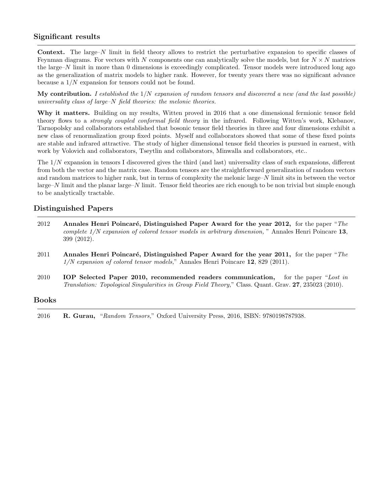### Significant results

Context. The large–N limit in field theory allows to restrict the perturbative expansion to specific classes of Feynman diagrams. For vectors with N components one can analytically solve the models, but for  $N \times N$  matrices the large–N limit in more than 0 dimensions is exceedingly complicated. Tensor models were introduced long ago as the generalization of matrix models to higher rank. However, for twenty years there was no significant advance because a 1/N expansion for tensors could not be found.

My contribution. I established the  $1/N$  expansion of random tensors and discovered a new (and the last possible) universality class of large–N field theories: the melonic theories.

Why it matters. Building on my results, Witten proved in 2016 that a one dimensional fermionic tensor field theory flows to a strongly coupled conformal field theory in the infrared. Following Witten's work, Klebanov, Tarnopolsky and collaborators established that bosonic tensor field theories in three and four dimensions exhibit a new class of renormalization group fixed points. Myself and collaborators showed that some of these fixed points are stable and infrared attractive. The study of higher dimensional tensor field theories is pursued in earnest, with work by Volovich and collaborators, Tseytlin and collaborators, Minwalla and collaborators, etc..

The 1/N expansion in tensors I discovered gives the third (and last) universality class of such expansions, different from both the vector and the matrix case. Random tensors are the straightforward generalization of random vectors and random matrices to higher rank, but in terms of complexity the melonic large– $N$  limit sits in between the vector large–N limit and the planar large–N limit. Tensor field theories are rich enough to be non trivial but simple enough to be analytically tractable.

### Distinguished Papers

| 2012 | Annales Henri Poincaré, Distinguished Paper Award for the year 2012, for the paper "The               |
|------|-------------------------------------------------------------------------------------------------------|
|      | complete $1/N$ expansion of colored tensor models in arbitrary dimension," Annales Henri Poincare 13, |
|      | $399(2012)$ .                                                                                         |

- 2011 Annales Henri Poincaré, Distinguished Paper Award for the year 2011, for the paper "The 1/N expansion of colored tensor models," Annales Henri Poincare 12, 829 (2011).
- 2010 **IOP** Selected Paper 2010, recommended readers communication, for the paper "Lost in Translation: Topological Singularities in Group Field Theory," Class. Quant. Grav. 27, 235023 (2010).

### Books

2016 R. Gurau, "Random Tensors," Oxford University Press, 2016, ISBN: 9780198787938.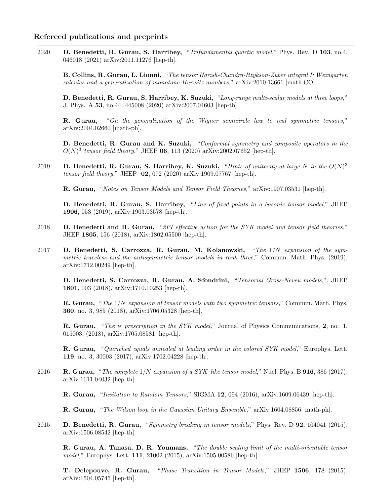2020 D. Benedetti, R. Gurau, S. Harribey, "Trifundamental quartic model," Phys. Rev. D 103, no.4, 046018 (2021) arXiv:2011.11276 [hep-th].

B. Collins, R. Gurau, L. Lionni, "The tensor Harish-Chandra-Itzykson-Zuber integral I: Weingarten calculus and a generalization of monotone Hurwitz numbers," arXiv:2010.13661 [math.CO].

D. Benedetti, R. Gurau, S. Harribey, K. Suzuki, "Long-range multi-scalar models at three loops," J. Phys. A 53, no.44, 445008 (2020) arXiv:2007.04603 [hep-th].

R. Gurau, "On the generalization of the Wigner semicircle law to real symmetric tensors," arXiv:2004.02660 [math-ph].

D. Benedetti, R. Gurau and K. Suzuki, "Conformal symmetry and composite operators in the  $O(N)^3$  tensor field theory," JHEP 06, 113 (2020) arXiv:2002.07652 [hep-th].

2019 D. Benedetti, R. Gurau, S. Harribey, K. Suzuki, "Hints of unitarity at large N in the  $O(N)^3$ tensor field theory," JHEP 02, 072 (2020) arXiv:1909.07767 [hep-th].

R. Gurau, "Notes on Tensor Models and Tensor Field Theories," arXiv:1907.03531 [hep-th].

D. Benedetti, R. Gurau, S. Harribey, "Line of fixed points in a bosonic tensor model," JHEP 1906, 053 (2019), arXiv:1903.03578 [hep-th].

- 2018 D. Benedetti and R. Gurau, "2PI effective action for the SYK model and tensor field theories." JHEP 1805, 156 (2018), arXiv:1802.05500 [hep-th].
- 2017 D. Benedetti, S. Carrozza, R. Gurau, M. Kolanowski, "The  $1/N$  expansion of the symmetric traceless and the antisymmetric tensor models in rank three," Commun. Math. Phys. (2019), arXiv:1712.00249 [hep-th].

D. Benedetti, S. Carrozza, R. Gurau, A. Sfondrini, "Tensorial Gross-Neveu models,", JHEP 1801, 003 (2018), arXiv:1710.10253 [hep-th].

R. Gurau, "The  $1/N$  expansion of tensor models with two symmetric tensors," Commun. Math. Phys. 360, no. 3, 985 (2018), arXiv:1706.05328 [hep-th].

**R. Gurau,** "The *ve prescription in the SYK model*," Journal of Physics Communications, 2, no. 1, 015003, (2018), arXiv:1705.08581 [hep-th].

R. Gurau, "Quenched equals annealed at leading order in the colored SYK model," Europhys. Lett. 119, no. 3, 30003 (2017), arXiv:1702.04228 [hep-th].

2016 R. Gurau, "The complete  $1/N$  expansion of a SYK-like tensor model," Nucl. Phys. B 916, 386 (2017), arXiv:1611.04032 [hep-th].

R. Gurau, "Invitation to Random Tensors," SIGMA 12, 094 (2016), arXiv:1609.06439 [hep-th].

R. Gurau, "The Wilson loop in the Gaussian Unitary Ensemble," arXiv:1604.08856 [math-ph].

2015 D. Benedetti, R. Gurau, "Symmetry breaking in tensor models," Phys. Rev. D 92, 104041 (2015), arXiv:1506.08542 [hep-th].

R. Gurau, A. Tanasa, D. R. Youmans, "The double scaling limit of the multi-orientable tensor model," Europhys. Lett. 111, 21002 (2015), arXiv:1505.00586 [hep-th].

T. Delepouve, R. Gurau, "Phase Transition in Tensor Models," JHEP 1506, 178 (2015), arXiv:1504.05745 [hep-th].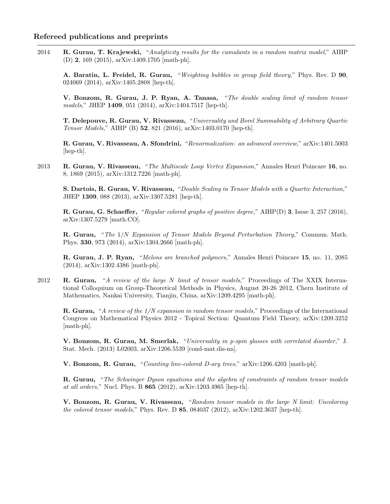2014 R. Gurau, T. Krajewski, "Analyticity results for the cumulants in a random matrix model," AIHP (D) 2, 169 (2015), arXiv:1409.1705 [math-ph].

A. Baratin, L. Freidel, R. Gurau, "Weighting bubbles in group field theory," Phys. Rev. D 90, 024069 (2014), arXiv:1405.2808 [hep-th].

V. Bonzom, R. Gurau, J. P. Ryan, A. Tanasa, "The double scaling limit of random tensor models," JHEP 1409, 051 (2014), arXiv:1404.7517 [hep-th].

T. Delepouve, R. Gurau, V. Rivasseau, "Universality and Borel Summability of Arbitrary Quartic Tensor Models," AIHP (B) 52, 821 (2016), arXiv:1403.0170 [hep-th].

R. Gurau, V. Rivasseau, A. Sfondrini, "Renormalization: an advanced overview," arXiv:1401.5003 [hep-th].

2013 R. Gurau, V. Rivasseau, "The Multiscale Loop Vertex Expansion," Annales Henri Poincare 16, no. 8, 1869 (2015), arXiv:1312.7226 [math-ph].

S. Dartois, R. Gurau, V. Rivasseau, "Double Scaling in Tensor Models with a Quartic Interaction," JHEP 1309, 088 (2013), arXiv:1307.5281 [hep-th].

R. Gurau, G. Schaeffer, "Regular colored graphs of positive degree," AIHP(D) 3, Issue 3, 257 (2016), arXiv:1307.5279 [math.CO].

R. Gurau, "The 1/N Expansion of Tensor Models Beyond Perturbation Theory," Commun. Math. Phys. 330, 973 (2014), arXiv:1304.2666 [math-ph].

R. Gurau, J. P. Ryan, "Melons are branched polymers," Annales Henri Poincare 15, no. 11, 2085 (2014), arXiv:1302.4386 [math-ph].

2012 R. Gurau, "A review of the large N limit of tensor models," Proceedings of The XXIX International Colloquium on Group-Theoretical Methods in Physics, August 20-26 2012, Chern Institute of Mathematics, Nankai University, Tianjin, China, arXiv:1209.4295 [math-ph].

R. Gurau, "A review of the  $1/N$  expansion in random tensor models," Proceedings of the International Congress on Mathematical Physics 2012 - Topical Section: Quantum Field Theory, arXiv:1209.3252 [math-ph].

V. Bonzom, R. Gurau, M. Smerlak, "Universality in p-spin glasses with correlated disorder," J. Stat. Mech. (2013) L02003, arXiv:1206.5539 [cond-mat.dis-nn].

V. Bonzom, R. Gurau, "Counting line-colored D-ary trees," arXiv:1206.4203 [math-ph].

R. Gurau, "The Schwinger Dyson equations and the algebra of constraints of random tensor models at all orders," Nucl. Phys. B 865 (2012), arXiv:1203.4965 [hep-th].

V. Bonzom, R. Gurau, V. Rivasseau, "Random tensor models in the large N limit: Uncoloring the colored tensor models," Phys. Rev. D 85, 084037 (2012), arXiv:1202.3637 [hep-th].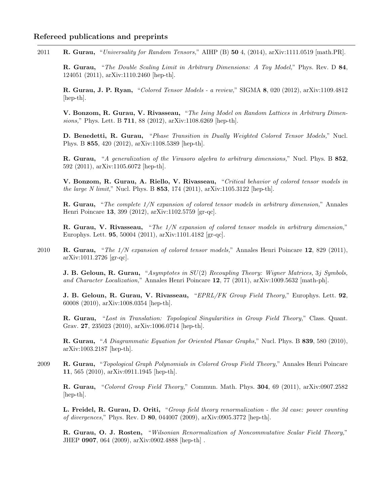2011 R. Gurau, "Universality for Random Tensors," AIHP (B) 50 4, (2014), arXiv:1111.0519 [math.PR].

R. Gurau, "The Double Scaling Limit in Arbitrary Dimensions: A Toy Model," Phys. Rev. D 84, 124051 (2011), arXiv:1110.2460 [hep-th].

R. Gurau, J. P. Ryan, "Colored Tensor Models - a review," SIGMA 8, 020 (2012), arXiv:1109.4812 [hep-th].

V. Bonzom, R. Gurau, V. Rivasseau, "The Ising Model on Random Lattices in Arbitrary Dimensions," Phys. Lett. B 711, 88 (2012), arXiv:1108.6269 [hep-th].

D. Benedetti, R. Gurau, "Phase Transition in Dually Weighted Colored Tensor Models," Nucl. Phys. B 855, 420 (2012), arXiv:1108.5389 [hep-th].

R. Gurau, "A generalization of the Virasoro algebra to arbitrary dimensions," Nucl. Phys. B 852, 592 (2011), arXiv:1105.6072 [hep-th].

V. Bonzom, R. Gurau, A. Riello, V. Rivasseau, "Critical behavior of colored tensor models in the large N limit," Nucl. Phys. B 853, 174 (2011), arXiv:1105.3122 [hep-th].

R. Gurau, "The complete 1/N expansion of colored tensor models in arbitrary dimension," Annales Henri Poincare 13, 399 (2012), arXiv:1102.5759 [gr-qc].

R. Gurau, V. Rivasseau, "The 1/N expansion of colored tensor models in arbitrary dimension," Europhys. Lett. 95, 50004 (2011), arXiv:1101.4182 [gr-qc].

2010 R. Gurau, "The  $1/N$  expansion of colored tensor models," Annales Henri Poincare 12, 829 (2011), arXiv:1011.2726 [gr-qc].

J. B. Geloun, R. Gurau, "Asymptotes in SU(2) Recoupling Theory: Wigner Matrices, 3j Symbols, and Character Localization," Annales Henri Poincare 12, 77 (2011), arXiv:1009.5632 [math-ph].

J. B. Geloun, R. Gurau, V. Rivasseau, "EPRL/FK Group Field Theory," Europhys. Lett. 92, 60008 (2010), arXiv:1008.0354 [hep-th].

R. Gurau, "Lost in Translation: Topological Singularities in Group Field Theory," Class. Quant. Grav. 27, 235023 (2010), arXiv:1006.0714 [hep-th].

R. Gurau, "A Diagrammatic Equation for Oriented Planar Graphs," Nucl. Phys. B 839, 580 (2010), arXiv:1003.2187 [hep-th].

2009 R. Gurau, "Topological Graph Polynomials in Colored Group Field Theory," Annales Henri Poincare 11, 565 (2010), arXiv:0911.1945 [hep-th].

R. Gurau, "Colored Group Field Theory," Commun. Math. Phys. 304, 69 (2011), arXiv:0907.2582 [hep-th].

L. Freidel, R. Gurau, D. Oriti, "Group field theory renormalization - the 3d case: power counting of divergences," Phys. Rev. D 80, 044007 (2009), arXiv:0905.3772 [hep-th].

R. Gurau, O. J. Rosten, "Wilsonian Renormalization of Noncommutative Scalar Field Theory," JHEP 0907, 064 (2009), arXiv:0902.4888 [hep-th] .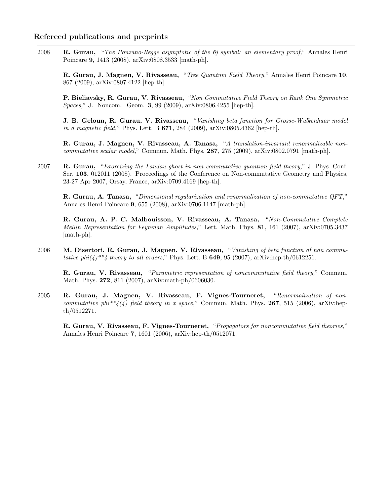2008 R. Gurau, "The Ponzano-Regge asymptotic of the 6j symbol: an elementary proof," Annales Henri Poincare 9, 1413 (2008), arXiv:0808.3533 [math-ph].

R. Gurau, J. Magnen, V. Rivasseau, "Tree Quantum Field Theory," Annales Henri Poincare 10, 867 (2009), arXiv:0807.4122 [hep-th].

P. Bieliavsky, R. Gurau, V. Rivasseau, "Non Commutative Field Theory on Rank One Symmetric Spaces," J. Noncom. Geom. 3, 99 (2009), arXiv:0806.4255 [hep-th].

J. B. Geloun, R. Gurau, V. Rivasseau, "Vanishing beta function for Grosse-Wulkenhaar model in a magnetic field," Phys. Lett. B 671, 284 (2009), arXiv:0805.4362 [hep-th].

R. Gurau, J. Magnen, V. Rivasseau, A. Tanasa, "A translation-invariant renormalizable noncommutative scalar model," Commun. Math. Phys. 287, 275 (2009), arXiv:0802.0791 [math-ph].

2007 R. Gurau, "Exorcizing the Landau ghost in non commutative quantum field theory," J. Phys. Conf. Ser. 103, 012011 (2008). Proceedings of the Conference on Non-commutative Geometry and Physics, 23-27 Apr 2007, Orsay, France, arXiv:0709.4169 [hep-th].

R. Gurau, A. Tanasa, "Dimensional regularization and renormalization of non-commutative QFT," Annales Henri Poincare 9, 655 (2008), arXiv:0706.1147 [math-ph].

R. Gurau, A. P. C. Malbouisson, V. Rivasseau, A. Tanasa, "Non-Commutative Complete Mellin Representation for Feynman Amplitudes," Lett. Math. Phys. 81, 161 (2007), arXiv:0705.3437 [math-ph].

2006 M. Disertori, R. Gurau, J. Magnen, V. Rivasseau, "Vanishing of beta function of non commutative phi $(4)$ <sup>\*\*</sup>4 theory to all orders," Phys. Lett. B **649**, 95 (2007), arXiv:hep-th/0612251.

R. Gurau, V. Rivasseau, "Parametric representation of noncommutative field theory," Commun. Math. Phys. 272, 811 (2007), arXiv:math-ph/0606030.

2005 R. Gurau, J. Magnen, V. Rivasseau, F. Vignes-Tourneret, "Renormalization of noncommutative phi<sup>\*\*</sup>4(4) field theory in x space," Commun. Math. Phys. **267**, 515 (2006), arXiv:hepth/0512271.

R. Gurau, V. Rivasseau, F. Vignes-Tourneret, "Propagators for noncommutative field theories," Annales Henri Poincare 7, 1601 (2006), arXiv:hep-th/0512071.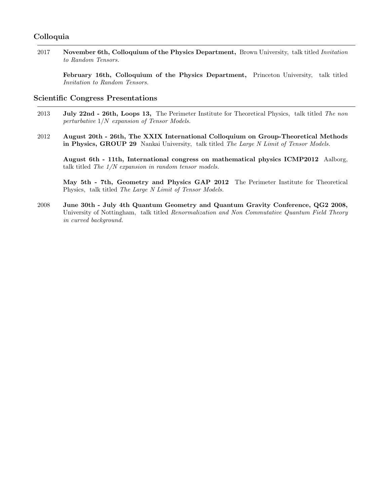### Colloquia

2017 November 6th, Colloquium of the Physics Department, Brown University, talk titled *Invitation* to Random Tensors.

February 16th, Colloquium of the Physics Department, Princeton University, talk titled Invitation to Random Tensors.

### Scientific Congress Presentations

- 2013 July 22nd 26th, Loops 13, The Perimeter Institute for Theoretical Physics, talk titled The non perturbative 1/N expansion of Tensor Models.
- 2012 August 20th 26th, The XXIX International Colloquium on Group-Theoretical Methods in Physics, GROUP 29 Nankai University, talk titled The Large N Limit of Tensor Models.

August 6th - 11th, International congress on mathematical physics ICMP2012 Aalborg, talk titled The 1/N expansion in random tensor models.

May 5th - 7th, Geometry and Physics GAP 2012 The Perimeter Institute for Theoretical Physics, talk titled The Large N Limit of Tensor Models.

2008 June 30th - July 4th Quantum Geometry and Quantum Gravity Conference, QG2 2008, University of Nottingham, talk titled Renormalization and Non Commutative Quantum Field Theory in curved background.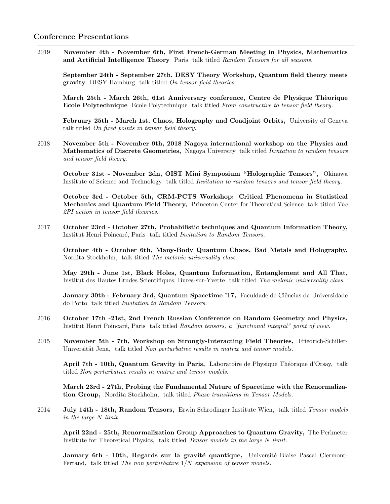2019 November 4th - November 6th, First French-German Meeting in Physics, Mathematics and Artificial Intelligence Theory Paris talk titled Random Tensors for all seasons.

September 24th - September 27th, DESY Theory Workshop, Quantum field theory meets gravity DESY Hamburg talk titled On tensor field theories.

March 25th - March 26th, 61st Anniversary conference, Centre de Physique Thèorique Ecole Polytechnique Ecole Polytechnique talk titled From constructive to tensor field theory.

February 25th - March 1st, Chaos, Holography and Coadjoint Orbits, University of Geneva talk titled On fixed points in tensor field theory.

2018 November 5th - November 9th, 2018 Nagoya international workshop on the Physics and Mathematics of Discrete Geometries, Nagoya University talk titled Invitation to random tensors and tensor field theory.

October 31st - November 2dn, OIST Mini Symposium "Holographic Tensors", Okinawa Institute of Science and Technology talk titled Invitation to random tensors and tensor field theory.

October 3rd - October 5th, CRM-PCTS Workshop: Critical Phenomena in Statistical Mechanics and Quantum Field Theory, Princeton Center for Theoretical Science talk titled The 2PI action in tensor field theories.

2017 October 23rd - October 27th, Probabilistic techniques and Quantum Information Theory, Institut Henri Poincaré, Paris talk titled Invitation to Random Tensors.

October 4th - October 6th, Many-Body Quantum Chaos, Bad Metals and Holography, Nordita Stockholm, talk titled The melonic universality class.

May 29th - June 1st, Black Holes, Quantum Information, Entanglement and All That, Institut des Hautes Etudes Scientifiques, Bures-sur-Yvette talk titled *The melonic universality class.* 

January 30th - February 3rd, Quantum Spacetime '17, Faculdade de Ciências da Universidade do Porto talk titled Invitation to Random Tensors.

- 2016 October 17th -21st, 2nd French Russian Conference on Random Geometry and Physics, Institut Henri Poincaré, Paris talk titled Random tensors, a "functional integral" point of view.
- 2015 November 5th 7th, Workshop on Strongly-Interacting Field Theories, Friedrich-Schiller-Universität Jena, talk titled Non perturbative results in matrix and tensor models.

April 7th - 10th, Quantum Gravity in Paris, Laboratoire de Physique Théorique d'Orsay, talk titled Non perturbative results in matrix and tensor models.

March 23rd - 27th, Probing the Fundamental Nature of Spacetime with the Renormalization Group, Nordita Stockholm, talk titled Phase transitions in Tensor Models.

2014 July 14th - 18th, Random Tensors, Erwin Schrodinger Institute Wien, talk titled Tensor models in the large N limit.

April 22nd - 25th, Renormalization Group Approaches to Quantum Gravity, The Perimeter Institute for Theoretical Physics, talk titled Tensor models in the large N limit.

January 6th - 10th, Regards sur la gravité quantique, Université Blaise Pascal Clermont-Ferrand, talk titled The non perturbative 1/N expansion of tensor models.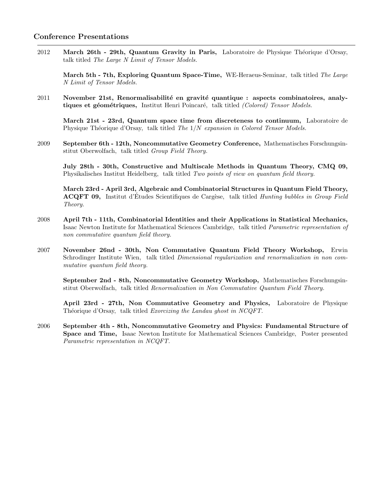### Conference Presentations

2012 March 26th - 29th, Quantum Gravity in Paris, Laboratoire de Physique Théorique d'Orsay, talk titled The Large N Limit of Tensor Models.

March 5th - 7th, Exploring Quantum Space-Time, WE-Heraeus-Seminar, talk titled The Large N Limit of Tensor Models.

2011 November 21st, Renormalisabilité en gravité quantique : aspects combinatoires, analytiques et géométriques, Institut Henri Poincaré, talk titled (Colored) Tensor Models.

March 21st - 23rd, Quantum space time from discreteness to continuum, Laboratoire de Physique Théorique d'Orsay, talk titled The  $1/N$  expansion in Colored Tensor Models.

2009 September 6th - 12th, Noncommutative Geometry Conference, Mathematisches Forschungsinstitut Oberwolfach, talk titled Group Field Theory.

July 28th - 30th, Constructive and Multiscale Methods in Quantum Theory, CMQ 09, Physikalisches Institut Heidelberg, talk titled Two points of view on quantum field theory.

March 23rd - April 3rd, Algebraic and Combinatorial Structures in Quantum Field Theory, ACQFT 09, Institut d'Études Scientifiques de Cargèse, talk titled *Hunting bubbles in Group Field* Theory.

- 2008 April 7th 11th, Combinatorial Identities and their Applications in Statistical Mechanics, Isaac Newton Institute for Mathematical Sciences Cambridge, talk titled Parametric representation of non commutative quantum field theory.
- 2007 November 26nd 30th, Non Commutative Quantum Field Theory Workshop, Erwin Schrodinger Institute Wien, talk titled Dimensional regularization and renormalization in non commutative quantum field theory.

September 2nd - 8th, Noncommutative Geometry Workshop, Mathematisches Forschungsinstitut Oberwolfach, talk titled Renormalization in Non Commutative Quantum Field Theory.

April 23rd - 27th, Non Commutative Geometry and Physics, Laboratoire de Physique Théorique d'Orsay, talk titled Exorcizing the Landau ghost in NCQFT.

2006 September 4th - 8th, Noncommutative Geometry and Physics: Fundamental Structure of Space and Time, Isaac Newton Institute for Mathematical Sciences Cambridge, Poster presented Parametric representation in NCQFT.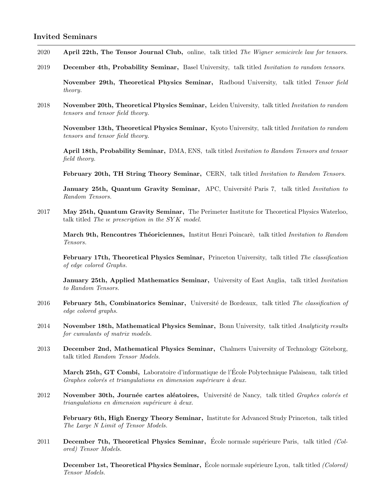### Invited Seminars

- 2020 April 22th, The Tensor Journal Club, online, talk titled The Wigner semicircle law for tensors.
- 2019 December 4th, Probability Seminar, Basel University, talk titled Invitation to random tensors.

November 29th, Theoretical Physics Seminar, Radboud University, talk titled Tensor field theory.

2018 November 20th, Theoretical Physics Seminar, Leiden University, talk titled *Invitation to random* tensors and tensor field theory.

November 13th, Theoretical Physics Seminar, Kyoto University, talk titled Invitation to random tensors and tensor field theory.

April 18th, Probability Seminar, DMA, ENS, talk titled Invitation to Random Tensors and tensor field theory.

February 20th, TH String Theory Seminar, CERN, talk titled *Invitation to Random Tensors*.

January 25th, Quantum Gravity Seminar, APC, Université Paris 7, talk titled Invitation to Random Tensors.

2017 May 25th, Quantum Gravity Seminar, The Perimeter Institute for Theoretical Physics Waterloo, talk titled The  $ie$  prescription in the SYK model.

March 9th, Rencontres Théoriciennes, Institut Henri Poincarè, talk titled Invitation to Random Tensors.

February 17th, Theoretical Physics Seminar, Princeton University, talk titled The classification of edge colored Graphs.

January 25th, Applied Mathematics Seminar, University of East Anglia, talk titled *Invitation* to Random Tensors.

- 2016 February 5th, Combinatorics Seminar, Université de Bordeaux, talk titled The classification of edge colored graphs.
- 2014 November 18th, Mathematical Physics Seminar, Bonn University, talk titled Analyticity results for cumulants of matrix models.
- 2013 December 2nd, Mathematical Physics Seminar, Chalmers University of Technology Göteborg, talk titled Random Tensor Models.

March 25th, GT Combi, Laboratoire d'informatique de l'Ecole Polytechnique Palaiseau, talk titled ´ Graphes colorés et triangulations en dimension supérieure à deux.

2012 November 30th, Journée cartes aléatoires, Université de Nancy, talk titled Graphes colorés et  $triangulations en dimension supérieure à deux.$ 

February 6th, High Energy Theory Seminar, Institute for Advanced Study Princeton, talk titled The Large N Limit of Tensor Models.

2011 December 7th, Theoretical Physics Seminar, École normale supérieure Paris, talk titled  $\ell$ ored) Tensor Models.

December 1st, Theoretical Physics Seminar, École normale supérieure Lyon, talk titled (Colored) Tensor Models.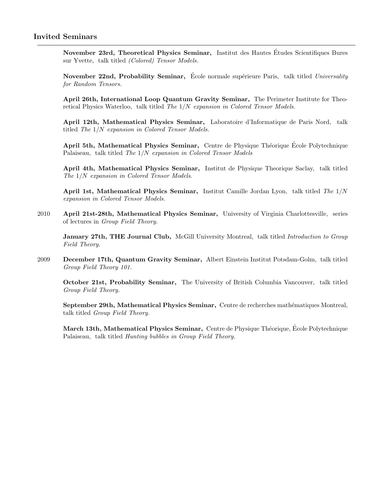November 23rd, Theoretical Physics Seminar, Institut des Hautes Etudes Scientifiques Bures ´ sur Yvette, talk titled (Colored) Tensor Models.

November 22nd, Probability Seminar, École normale supérieure Paris, talk titled *Universality* for Random Tensors.

April 26th, International Loop Quantum Gravity Seminar, The Perimeter Institute for Theoretical Physics Waterloo, talk titled The  $1/N$  expansion in Colored Tensor Models.

April 12th, Mathematical Physics Seminar, Laboratoire d'Informatique de Paris Nord, talk titled The 1/N expansion in Colored Tensor Models.

April 5th, Mathematical Physics Seminar, Centre de Physique Théorique École Polytechnique Palaiseau, talk titled The 1/N expansion in Colored Tensor Models

April 4th, Mathematical Physics Seminar, Institut de Physique Theorique Saclay, talk titled The 1/N expansion in Colored Tensor Models.

April 1st, Mathematical Physics Seminar, Institut Camille Jordan Lyon, talk titled The 1/N expansion in Colored Tensor Models.

2010 April 21st-28th, Mathematical Physics Seminar, University of Virginia Charlottesville, series of lectures in Group Field Theory.

January 27th, THE Journal Club, McGill University Montreal, talk titled Introduction to Group Field Theory.

2009 December 17th, Quantum Gravity Seminar, Albert Einstein Institut Potsdam-Golm, talk titled Group Field Theory 101.

October 21st, Probability Seminar, The University of British Columbia Vancouver, talk titled Group Field Theory.

September 29th, Mathematical Physics Seminar, Centre de recherches mathématiques Montreal, talk titled Group Field Theory.

March 13th, Mathematical Physics Seminar, Centre de Physique Théorique, École Polytechnique Palaiseau, talk titled Hunting bubbles in Group Field Theory.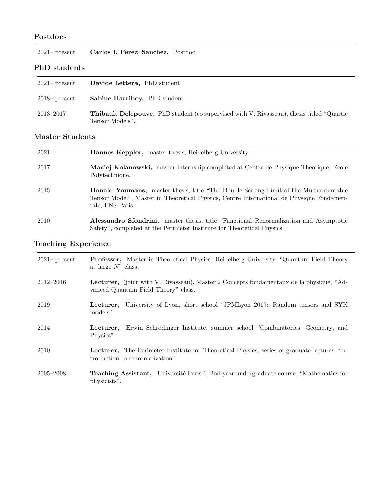### Postdocs

| $2021$ present      | Carlos I. Perez-Sanchez, Postdoc                                                                  |  |
|---------------------|---------------------------------------------------------------------------------------------------|--|
| <b>PhD</b> students |                                                                                                   |  |
| $2021$ present      | Davide Lettera, PhD student                                                                       |  |
| $2018$ present      | <b>Sabine Harribey, PhD student</b>                                                               |  |
| $2013 - 2017$       | <b>Thibault Delepouve,</b> PhD student (co supervised with V. Rivasseau), thesis titled "Quartic" |  |

### Master Students

Tensor Models".

| 2021 | <b>Hannes Keppler,</b> master thesis, Heidelberg University                                                                                                                                                    |
|------|----------------------------------------------------------------------------------------------------------------------------------------------------------------------------------------------------------------|
| 2017 | Maciej Kolanowski, master internship completed at Centre de Physique Theorique, Ecole<br>Polytechnique.                                                                                                        |
| 2015 | <b>Donald Youmans,</b> master thesis, title "The Double Scaling Limit of the Multi-orientable"<br>Tensor Model", Master in Theoretical Physics, Centre International de Physique Fondamen-<br>tale, ENS Paris. |
| 2010 | <b>Alessandro Sfondrini,</b> master thesis, title "Functional Renormalization and Asymptotic<br>Safety", completed at the Perimeter Institute for Theoretical Physics.                                         |

# Teaching Experience

| $2021$ present | Professor, Master in Theoretical Physics, Heidelberg University, "Quantum Field Theory<br>at large $N$ " class.                 |
|----------------|---------------------------------------------------------------------------------------------------------------------------------|
| $2012 - 2016$  | Lecturer, (joint with V. Rivasseau), Master 2 Concepts fondamentaux de la physique, "Ad-<br>vanced Quantum Field Theory" class. |
| 2019           | <b>Lecturer</b> , University of Lyon, short school "JPMLyon 2019: Random tensors and SYK<br>models"                             |
| 2014           | Erwin Schrodinger Institute, summer school "Combinatorics, Geometry, and<br>Lecturer.<br>Physics"                               |
| 2010           | Lecturer, The Perimeter Institute for Theoretical Physics, series of graduate lectures "In-<br>troduction to renormalization"   |
| $2005 - 2008$  | <b>Teaching Assistant,</b> Université Paris 6, 2nd year undergraduate course, "Mathematics for<br>physicists".                  |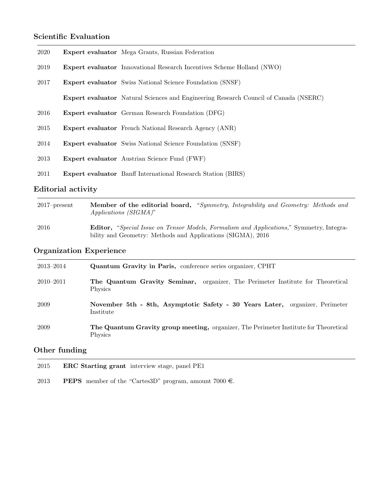# Scientific Evaluation

| 2020 | <b>Expert evaluator</b> Mega Grants, Russian Federation                                     |
|------|---------------------------------------------------------------------------------------------|
| 2019 | <b>Expert evaluator</b> Innovational Research Incentives Scheme Holland (NWO)               |
| 2017 | <b>Expert evaluator</b> Swiss National Science Foundation (SNSF)                            |
|      | <b>Expert evaluator</b> Natural Sciences and Engineering Research Council of Canada (NSERC) |
| 2016 | <b>Expert evaluator</b> German Research Foundation (DFG)                                    |
| 2015 | <b>Expert evaluator</b> French National Research Agency (ANR)                               |
| 2014 | <b>Expert evaluator</b> Swiss National Science Foundation (SNSF)                            |
| 2013 | <b>Expert evaluator</b> Austrian Science Fund (FWF)                                         |
| 2011 | <b>Expert evaluator</b> Banff International Research Station (BIRS)                         |

# Editorial activity

| $2017$ -present | <b>Member of the editorial board,</b> "Symmetry, Integrability and Geometry: Methods and<br>$Applications (SIGMA)$ "                                           |
|-----------------|----------------------------------------------------------------------------------------------------------------------------------------------------------------|
| 2016            | <b>Editor,</b> "Special Issue on Tensor Models, Formalism and Applications," Symmetry, Integra-<br>bility and Geometry: Methods and Applications (SIGMA), 2016 |

# Organization Experience

| 2013–2014     | Quantum Gravity in Paris, conference series organizer, CPHT                                       |
|---------------|---------------------------------------------------------------------------------------------------|
| $2010 - 2011$ | The Quantum Gravity Seminar, organizer, The Perimeter Institute for Theoretical<br><b>Physics</b> |
| 2009          | November 5th - 8th, Asymptotic Safety - 30 Years Later, organizer, Perimeter<br>Institute         |
| 2009          | The Quantum Gravity group meeting, organizer, The Perimeter Institute for Theoretical<br>Physics  |

# Other funding

| 2015 | <b>ERC</b> Starting grant interview stage, panel PE1                    |
|------|-------------------------------------------------------------------------|
| 2013 | <b>PEPS</b> member of the "Cartes 3D" program, amount 7000 $\epsilon$ . |